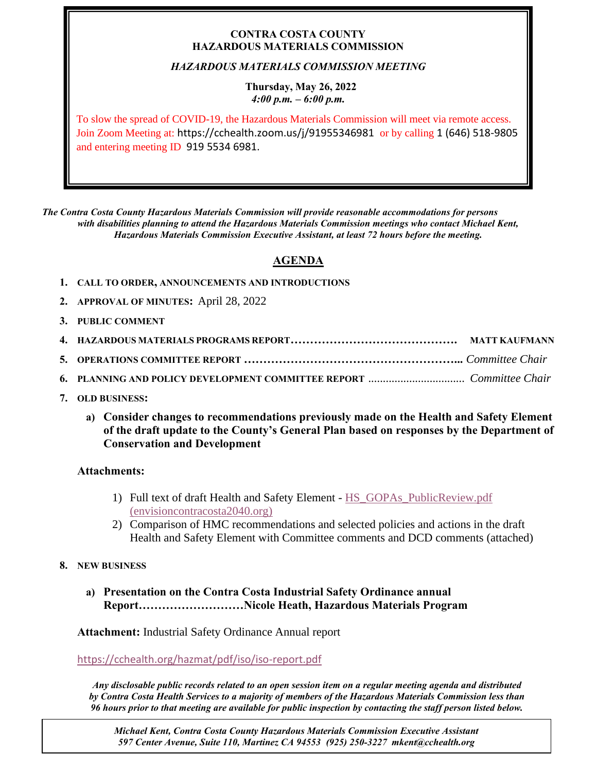### **CONTRA COSTA COUNTY HAZARDOUS MATERIALS COMMISSION**

## *HAZARDOUS MATERIALS COMMISSION MEETING*

#### **Thursday, May 26, 2022** *4:00 p.m. – 6:00 p.m.*

To slow the spread of COVID-19, the Hazardous Materials Commission will meet via remote access. Join Zoom Meeting at: https://cchealth.zoom.us/j/91955346981 or by calling 1 (646) 518-9805 and entering meeting ID 919 5534 6981.

*The Contra Costa County Hazardous Materials Commission will provide reasonable accommodations for persons with disabilities planning to attend the Hazardous Materials Commission meetings who contact Michael Kent, Hazardous Materials Commission Executive Assistant, at least 72 hours before the meeting.*

# **AGENDA**

- **1. CALL TO ORDER, ANNOUNCEMENTS AND INTRODUCTIONS**
- **2. APPROVAL OF MINUTES:** April 28, 2022
- **3. PUBLIC COMMENT**

- **7. OLD BUSINESS:**
	- **a) Consider changes to recommendations previously made on the Health and Safety Element of the draft update to the County's General Plan based on responses by the Department of Conservation and Development**

### **Attachments:**

- 1) Full text of draft Health and Safety Element [HS\\_GOPAs\\_PublicReview.pdf](https://envisioncontracosta2040.org/wp-content/uploads/2022/04/HS_GOPAs_PublicReview.pdf)  [\(envisioncontracosta2040.org\)](https://envisioncontracosta2040.org/wp-content/uploads/2022/04/HS_GOPAs_PublicReview.pdf)
- 2) Comparison of HMC recommendations and selected policies and actions in the draft Health and Safety Element with Committee comments and DCD comments (attached)
- **8. NEW BUSINESS**
	- **a) Presentation on the Contra Costa Industrial Safety Ordinance annual Report………………………Nicole Heath, Hazardous Materials Program**

**Attachment:** Industrial Safety Ordinance Annual report

<https://cchealth.org/hazmat/pdf/iso/iso-report.pdf>

*Any disclosable public records related to an open session item on a regular meeting agenda and distributed by Contra Costa Health Services to a majority of members of the Hazardous Materials Commission less than 96 hours prior to that meeting are available for public inspection by contacting the staff person listed below.* 

*Michael Kent, Contra Costa County Hazardous Materials Commission Executive Assistant 597 Center Avenue, Suite 110, Martinez CA 94553 (925) 250-3227 mkent@cchealth.org*